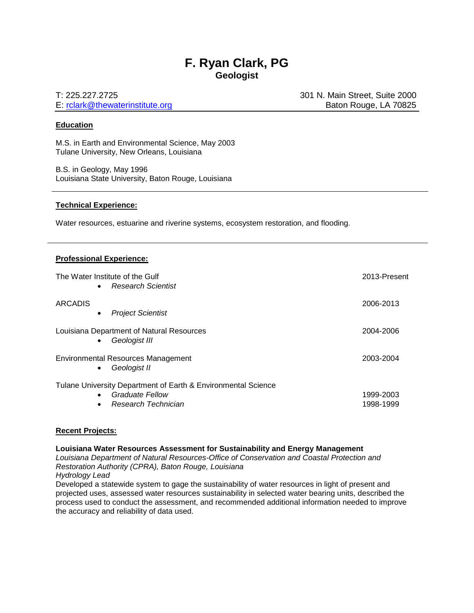# **F. Ryan Clark, PG Geologist**

E: [rclark@thewaterinstitute.org](mailto:rclark@thewaterinstitute.org) Baton Rouge, LA 70825

T: 225.227.2725 301 N. Main Street, Suite 2000

#### **Education**

M.S. in Earth and Environmental Science, May 2003 Tulane University, New Orleans, Louisiana

B.S. in Geology, May 1996 Louisiana State University, Baton Rouge, Louisiana

#### **Technical Experience:**

Water resources, estuarine and riverine systems, ecosystem restoration, and flooding.

#### **Professional Experience:**

| The Water Institute of the Gulf<br><b>Research Scientist</b><br>$\bullet$ | 2013-Present |
|---------------------------------------------------------------------------|--------------|
| <b>ARCADIS</b><br><b>Project Scientist</b><br>$\bullet$                   | 2006-2013    |
| Louisiana Department of Natural Resources<br>Geologist III<br>$\bullet$   | 2004-2006    |
| Environmental Resources Management<br>Geologist II<br>$\bullet$           | 2003-2004    |
| Tulane University Department of Earth & Environmental Science             |              |
| Graduate Fellow<br>$\bullet$                                              | 1999-2003    |
| Research Technician<br>٠                                                  | 1998-1999    |

#### **Recent Projects:**

#### **Louisiana Water Resources Assessment for Sustainability and Energy Management**

*Louisiana Department of Natural Resources-Office of Conservation and Coastal Protection and Restoration Authority (CPRA), Baton Rouge, Louisiana*

*Hydrology Lead*

Developed a statewide system to gage the sustainability of water resources in light of present and projected uses, assessed water resources sustainability in selected water bearing units, described the process used to conduct the assessment, and recommended additional information needed to improve the accuracy and reliability of data used.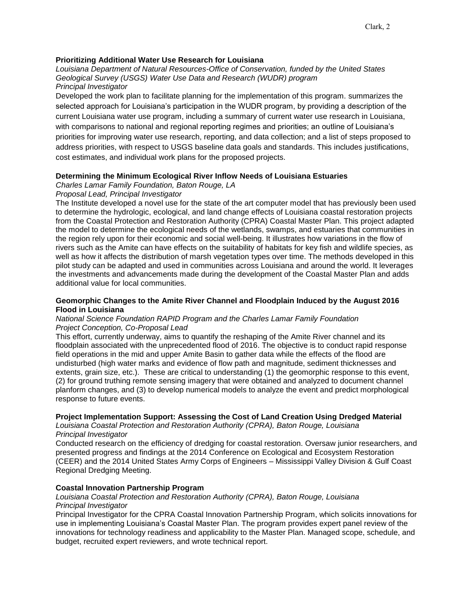### **Prioritizing Additional Water Use Research for Louisiana**

*Louisiana Department of Natural Resources-Office of Conservation, funded by the United States Geological Survey (USGS) Water Use Data and Research (WUDR) program Principal Investigator*

Developed the work plan to facilitate planning for the implementation of this program. summarizes the selected approach for Louisiana's participation in the WUDR program, by providing a description of the current Louisiana water use program, including a summary of current water use research in Louisiana, with comparisons to national and regional reporting regimes and priorities; an outline of Louisiana's priorities for improving water use research, reporting, and data collection; and a list of steps proposed to address priorities, with respect to USGS baseline data goals and standards. This includes justifications, cost estimates, and individual work plans for the proposed projects.

### **Determining the Minimum Ecological River Inflow Needs of Louisiana Estuaries**

*Charles Lamar Family Foundation, Baton Rouge, LA*

#### *Proposal Lead, Principal Investigator*

The Institute developed a novel use for the state of the art computer model that has previously been used to determine the hydrologic, ecological, and land change effects of Louisiana coastal restoration projects from the Coastal Protection and Restoration Authority (CPRA) Coastal Master Plan. This project adapted the model to determine the ecological needs of the wetlands, swamps, and estuaries that communities in the region rely upon for their economic and social well-being. It illustrates how variations in the flow of rivers such as the Amite can have effects on the suitability of habitats for key fish and wildlife species, as well as how it affects the distribution of marsh vegetation types over time. The methods developed in this pilot study can be adapted and used in communities across Louisiana and around the world. It leverages the investments and advancements made during the development of the Coastal Master Plan and adds additional value for local communities.

#### **Geomorphic Changes to the Amite River Channel and Floodplain Induced by the August 2016 Flood in Louisiana**

#### *National Science Foundation RAPID Program and the Charles Lamar Family Foundation Project Conception, Co-Proposal Lead*

This effort, currently underway, aims to quantify the reshaping of the Amite River channel and its floodplain associated with the unprecedented flood of 2016. The objective is to conduct rapid response field operations in the mid and upper Amite Basin to gather data while the effects of the flood are undisturbed (high water marks and evidence of flow path and magnitude, sediment thicknesses and extents, grain size, etc.). These are critical to understanding (1) the geomorphic response to this event, (2) for ground truthing remote sensing imagery that were obtained and analyzed to document channel planform changes, and (3) to develop numerical models to analyze the event and predict morphological response to future events.

### **Project Implementation Support: Assessing the Cost of Land Creation Using Dredged Material**

*Louisiana Coastal Protection and Restoration Authority (CPRA), Baton Rouge, Louisiana Principal Investigator*

Conducted research on the efficiency of dredging for coastal restoration. Oversaw junior researchers, and presented progress and findings at the 2014 Conference on Ecological and Ecosystem Restoration (CEER) and the 2014 United States Army Corps of Engineers – Mississippi Valley Division & Gulf Coast Regional Dredging Meeting.

### **Coastal Innovation Partnership Program**

### *Louisiana Coastal Protection and Restoration Authority (CPRA), Baton Rouge, Louisiana Principal Investigator*

Principal Investigator for the CPRA Coastal Innovation Partnership Program, which solicits innovations for use in implementing Louisiana's Coastal Master Plan. The program provides expert panel review of the innovations for technology readiness and applicability to the Master Plan. Managed scope, schedule, and budget, recruited expert reviewers, and wrote technical report.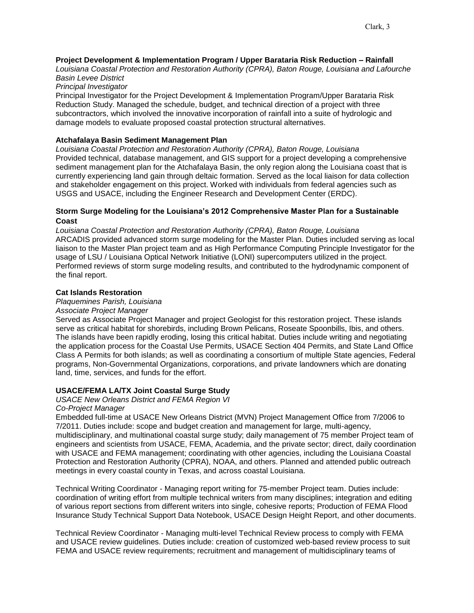# **Project Development & Implementation Program / Upper Barataria Risk Reduction – Rainfall**

*Louisiana Coastal Protection and Restoration Authority (CPRA), Baton Rouge, Louisiana and Lafourche Basin Levee District*

*Principal Investigator*

Principal Investigator for the Project Development & Implementation Program/Upper Barataria Risk Reduction Study. Managed the schedule, budget, and technical direction of a project with three subcontractors, which involved the innovative incorporation of rainfall into a suite of hydrologic and damage models to evaluate proposed coastal protection structural alternatives.

## **Atchafalaya Basin Sediment Management Plan**

*Louisiana Coastal Protection and Restoration Authority (CPRA), Baton Rouge, Louisiana* Provided technical, database management, and GIS support for a project developing a comprehensive sediment management plan for the Atchafalaya Basin, the only region along the Louisiana coast that is currently experiencing land gain through deltaic formation. Served as the local liaison for data collection and stakeholder engagement on this project. Worked with individuals from federal agencies such as USGS and USACE, including the Engineer Research and Development Center (ERDC).

## **Storm Surge Modeling for the Louisiana's 2012 Comprehensive Master Plan for a Sustainable Coast**

*Louisiana Coastal Protection and Restoration Authority (CPRA), Baton Rouge, Louisiana* ARCADIS provided advanced storm surge modeling for the Master Plan. Duties included serving as local liaison to the Master Plan project team and as High Performance Computing Principle Investigator for the usage of LSU / Louisiana Optical Network Initiative (LONI) supercomputers utilized in the project. Performed reviews of storm surge modeling results, and contributed to the hydrodynamic component of the final report.

## **Cat Islands Restoration**

### *Plaquemines Parish, Louisiana*

### *Associate Project Manager*

Served as Associate Project Manager and project Geologist for this restoration project. These islands serve as critical habitat for shorebirds, including Brown Pelicans, Roseate Spoonbills, Ibis, and others. The islands have been rapidly eroding, losing this critical habitat. Duties include writing and negotiating the application process for the Coastal Use Permits, USACE Section 404 Permits, and State Land Office Class A Permits for both islands; as well as coordinating a consortium of multiple State agencies, Federal programs, Non-Governmental Organizations, corporations, and private landowners which are donating land, time, services, and funds for the effort.

### **USACE/FEMA LA/TX Joint Coastal Surge Study**

## *USACE New Orleans District and FEMA Region VI*

## *Co-Project Manager*

Embedded full-time at USACE New Orleans District (MVN) Project Management Office from 7/2006 to 7/2011. Duties include: scope and budget creation and management for large, multi-agency, multidisciplinary, and multinational coastal surge study; daily management of 75 member Project team of engineers and scientists from USACE, FEMA, Academia, and the private sector; direct, daily coordination with USACE and FEMA management; coordinating with other agencies, including the Louisiana Coastal Protection and Restoration Authority (CPRA), NOAA, and others. Planned and attended public outreach meetings in every coastal county in Texas, and across coastal Louisiana.

Technical Writing Coordinator - Managing report writing for 75-member Project team. Duties include: coordination of writing effort from multiple technical writers from many disciplines; integration and editing of various report sections from different writers into single, cohesive reports; Production of FEMA Flood Insurance Study Technical Support Data Notebook, USACE Design Height Report, and other documents.

Technical Review Coordinator - Managing multi-level Technical Review process to comply with FEMA and USACE review guidelines. Duties include: creation of customized web-based review process to suit FEMA and USACE review requirements; recruitment and management of multidisciplinary teams of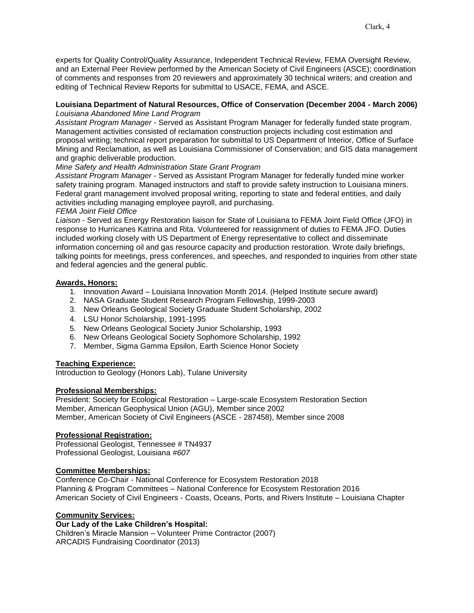experts for Quality Control/Quality Assurance, Independent Technical Review, FEMA Oversight Review, and an External Peer Review performed by the American Society of Civil Engineers (ASCE); coordination of comments and responses from 20 reviewers and approximately 30 technical writers; and creation and editing of Technical Review Reports for submittal to USACE, FEMA, and ASCE.

## **Louisiana Department of Natural Resources, Office of Conservation (December 2004 - March 2006)** *Louisiana Abandoned Mine Land Program*

*Assistant Program Manager* - Served as Assistant Program Manager for federally funded state program. Management activities consisted of reclamation construction projects including cost estimation and proposal writing; technical report preparation for submittal to US Department of Interior, Office of Surface Mining and Reclamation, as well as Louisiana Commissioner of Conservation; and GIS data management and graphic deliverable production.

# *Mine Safety and Health Administration State Grant Program*

*Assistant Program Manager* - Served as Assistant Program Manager for federally funded mine worker safety training program. Managed instructors and staff to provide safety instruction to Louisiana miners. Federal grant management involved proposal writing, reporting to state and federal entities, and daily activities including managing employee payroll, and purchasing.

### *FEMA Joint Field Office*

*Liaison* - Served as Energy Restoration liaison for State of Louisiana to FEMA Joint Field Office (JFO) in response to Hurricanes Katrina and Rita. Volunteered for reassignment of duties to FEMA JFO. Duties included working closely with US Department of Energy representative to collect and disseminate information concerning oil and gas resource capacity and production restoration. Wrote daily briefings, talking points for meetings, press conferences, and speeches, and responded to inquiries from other state and federal agencies and the general public.

## **Awards, Honors:**

- 1. Innovation Award Louisiana Innovation Month 2014. (Helped Institute secure award)
- 2. NASA Graduate Student Research Program Fellowship, 1999-2003
- 3. New Orleans Geological Society Graduate Student Scholarship, 2002
- 4. LSU Honor Scholarship, 1991-1995
- 5. New Orleans Geological Society Junior Scholarship, 1993
- 6. New Orleans Geological Society Sophomore Scholarship, 1992
- 7. Member, Sigma Gamma Epsilon, Earth Science Honor Society

# **Teaching Experience:**

Introduction to Geology (Honors Lab), Tulane University

### **Professional Memberships:**

President: Society for Ecological Restoration – Large-scale Ecosystem Restoration Section Member, American Geophysical Union (AGU), Member since 2002 Member, American Society of Civil Engineers (ASCE - 287458), Member since 2008

### **Professional Registration:**

Professional Geologist, Tennessee # TN4937 Professional Geologist, Louisiana *#607*

### **Committee Memberships:**

Conference Co-Chair - National Conference for Ecosystem Restoration 2018 Planning & Program Committees – National Conference for Ecosystem Restoration 2016 American Society of Civil Engineers - Coasts, Oceans, Ports, and Rivers Institute – Louisiana Chapter

# **Community Services:**

# **Our Lady of the Lake Children's Hospital:**

Children's Miracle Mansion – Volunteer Prime Contractor (2007) ARCADIS Fundraising Coordinator (2013)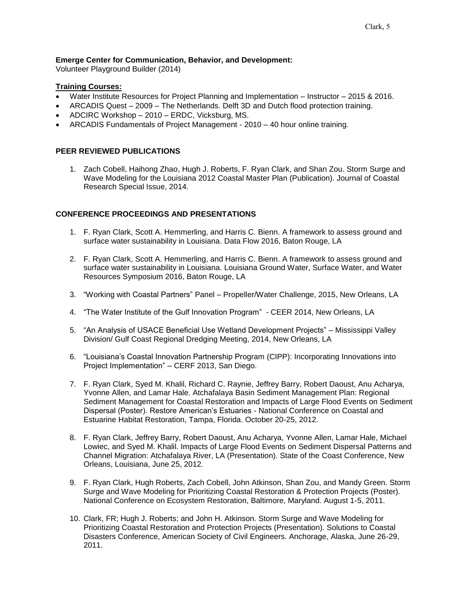## **Emerge Center for Communication, Behavior, and Development:**

Volunteer Playground Builder (2014)

## **Training Courses:**

- Water Institute Resources for Project Planning and Implementation Instructor 2015 & 2016.
- ARCADIS Quest 2009 The Netherlands. Delft 3D and Dutch flood protection training.
- ADCIRC Workshop 2010 ERDC, Vicksburg, MS.
- ARCADIS Fundamentals of Project Management 2010 40 hour online training.

## **PEER REVIEWED PUBLICATIONS**

1. Zach Cobell, Haihong Zhao, Hugh J. Roberts, F. Ryan Clark, and Shan Zou. Storm Surge and Wave Modeling for the Louisiana 2012 Coastal Master Plan (Publication). Journal of Coastal Research Special Issue, 2014.

## **CONFERENCE PROCEEDINGS AND PRESENTATIONS**

- 1. F. Ryan Clark, Scott A. Hemmerling, and Harris C. Bienn. A framework to assess ground and surface water sustainability in Louisiana. Data Flow 2016, Baton Rouge, LA
- 2. F. Ryan Clark, Scott A. Hemmerling, and Harris C. Bienn. A framework to assess ground and surface water sustainability in Louisiana. Louisiana Ground Water, Surface Water, and Water Resources Symposium 2016, Baton Rouge, LA
- 3. "Working with Coastal Partners" Panel Propeller/Water Challenge, 2015, New Orleans, LA
- 4. "The Water Institute of the Gulf Innovation Program" CEER 2014, New Orleans, LA
- 5. "An Analysis of USACE Beneficial Use Wetland Development Projects" Mississippi Valley Division/ Gulf Coast Regional Dredging Meeting, 2014, New Orleans, LA
- 6. "Louisiana's Coastal Innovation Partnership Program (CIPP): Incorporating Innovations into Project Implementation" – CERF 2013, San Diego.
- 7. F. Ryan Clark, Syed M. Khalil, Richard C. Raynie, Jeffrey Barry, Robert Daoust, Anu Acharya, Yvonne Allen, and Lamar Hale. Atchafalaya Basin Sediment Management Plan: Regional Sediment Management for Coastal Restoration and Impacts of Large Flood Events on Sediment Dispersal (Poster). Restore American's Estuaries - National Conference on Coastal and Estuarine Habitat Restoration, Tampa, Florida. October 20-25, 2012.
- 8. F. Ryan Clark, Jeffrey Barry, Robert Daoust, Anu Acharya, Yvonne Allen, Lamar Hale, Michael Lowiec, and Syed M. Khalil. Impacts of Large Flood Events on Sediment Dispersal Patterns and Channel Migration: Atchafalaya River, LA (Presentation). State of the Coast Conference, New Orleans, Louisiana, June 25, 2012.
- 9. F. Ryan Clark, Hugh Roberts, Zach Cobell, John Atkinson, Shan Zou, and Mandy Green. Storm Surge and Wave Modeling for Prioritizing Coastal Restoration & Protection Projects (Poster). National Conference on Ecosystem Restoration, Baltimore, Maryland. August 1-5, 2011.
- 10. Clark, FR; Hugh J. Roberts; and John H. Atkinson. Storm Surge and Wave Modeling for Prioritizing Coastal Restoration and Protection Projects (Presentation). Solutions to Coastal Disasters Conference, American Society of Civil Engineers. Anchorage, Alaska, June 26-29, 2011.